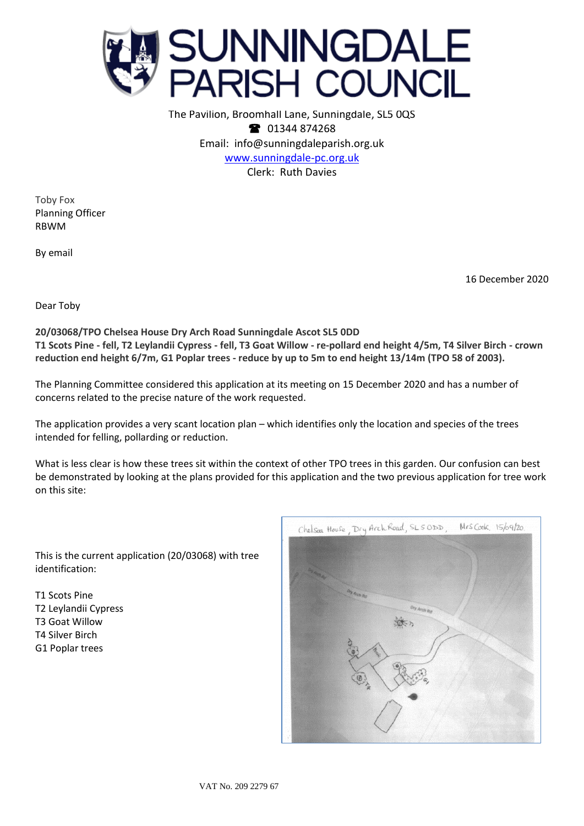

The Pavilion, Broomhall Lane, Sunningdale, SL5 0QS **1344 874268** Email: info@sunningdaleparish.org.uk [www.sunningdale-pc.org.uk](http://www.sunningdale-pc.org.uk/) Clerk: Ruth Davies

Toby Fox Planning Officer RBWM

By email

16 December 2020

Dear Toby

**20/03068/TPO Chelsea House Dry Arch Road Sunningdale Ascot SL5 0DD T1 Scots Pine - fell, T2 Leylandii Cypress - fell, T3 Goat Willow - re-pollard end height 4/5m, T4 Silver Birch - crown reduction end height 6/7m, G1 Poplar trees - reduce by up to 5m to end height 13/14m (TPO 58 of 2003).**

The Planning Committee considered this application at its meeting on 15 December 2020 and has a number of concerns related to the precise nature of the work requested.

The application provides a very scant location plan – which identifies only the location and species of the trees intended for felling, pollarding or reduction.

What is less clear is how these trees sit within the context of other TPO trees in this garden. Our confusion can best be demonstrated by looking at the plans provided for this application and the two previous application for tree work on this site:

This is the current application (20/03068) with tree identification:

T1 Scots Pine T2 Leylandii Cypress T3 Goat Willow T4 Silver Birch G1 Poplar trees